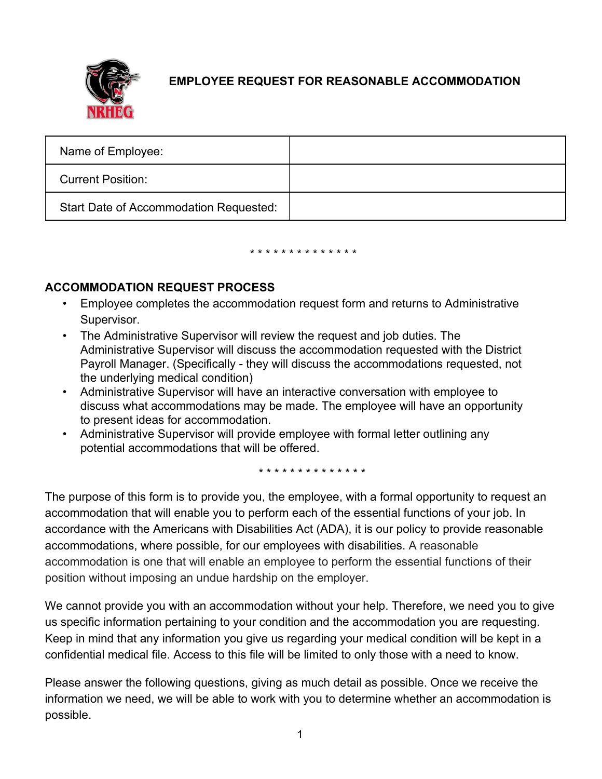

## **EMPLOYEE REQUEST FOR REASONABLE ACCOMMODATION**

| Name of Employee:                      |  |
|----------------------------------------|--|
| <b>Current Position:</b>               |  |
| Start Date of Accommodation Requested: |  |

## \* \* \* \* \* \* \* \* \* \* \* \* \* \*

## **ACCOMMODATION REQUEST PROCESS**

- Employee completes the accommodation request form and returns to Administrative Supervisor.
- The Administrative Supervisor will review the request and job duties. The Administrative Supervisor will discuss the accommodation requested with the District Payroll Manager. (Specifically - they will discuss the accommodations requested, not the underlying medical condition)
- Administrative Supervisor will have an interactive conversation with employee to discuss what accommodations may be made. The employee will have an opportunity to present ideas for accommodation.
- Administrative Supervisor will provide employee with formal letter outlining any potential accommodations that will be offered.

\* \* \* \* \* \* \* \* \* \* \* \* \* \*

The purpose of this form is to provide you, the employee, with a formal opportunity to request an accommodation that will enable you to perform each of the essential functions of your job. In accordance with the Americans with Disabilities Act (ADA), it is our policy to provide reasonable accommodations, where possible, for our employees with disabilities. A reasonable accommodation is one that will enable an employee to perform the essential functions of their position without imposing an undue hardship on the employer.

We cannot provide you with an accommodation without your help. Therefore, we need you to give us specific information pertaining to your condition and the accommodation you are requesting. Keep in mind that any information you give us regarding your medical condition will be kept in a confidential medical file. Access to this file will be limited to only those with a need to know.

Please answer the following questions, giving as much detail as possible. Once we receive the information we need, we will be able to work with you to determine whether an accommodation is possible.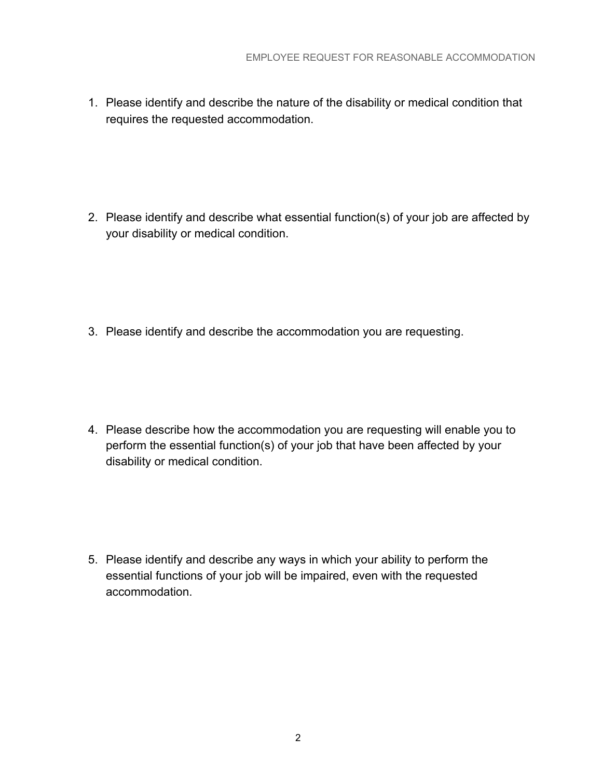1. Please identify and describe the nature of the disability or medical condition that requires the requested accommodation.

2. Please identify and describe what essential function(s) of your job are affected by your disability or medical condition.

3. Please identify and describe the accommodation you are requesting.

4. Please describe how the accommodation you are requesting will enable you to perform the essential function(s) of your job that have been affected by your disability or medical condition.

5. Please identify and describe any ways in which your ability to perform the essential functions of your job will be impaired, even with the requested accommodation.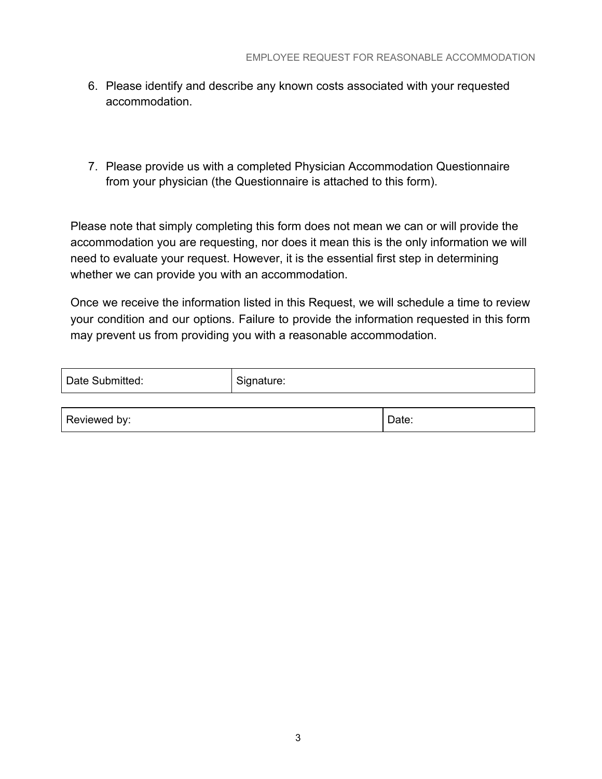- 6. Please identify and describe any known costs associated with your requested accommodation.
- 7. Please provide us with a completed Physician Accommodation Questionnaire from your physician (the Questionnaire is attached to this form).

Please note that simply completing this form does not mean we can or will provide the accommodation you are requesting, nor does it mean this is the only information we will need to evaluate your request. However, it is the essential first step in determining whether we can provide you with an accommodation.

Once we receive the information listed in this Request, we will schedule a time to review your condition and our options. Failure to provide the information requested in this form may prevent us from providing you with a reasonable accommodation.

| Date Submitted: | Signature: |       |
|-----------------|------------|-------|
|                 |            |       |
| Reviewed by:    |            | Date: |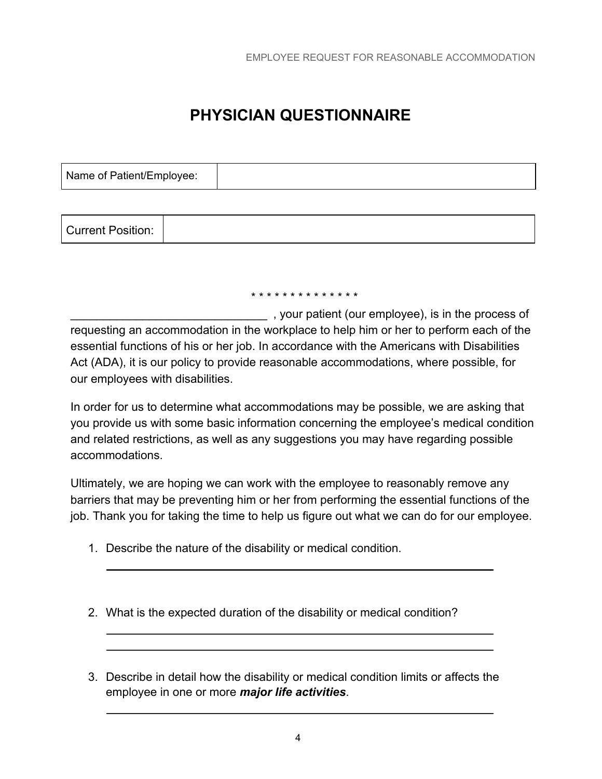## **PHYSICIAN QUESTIONNAIRE**

| Name of Patient/Employee: |  |
|---------------------------|--|
|                           |  |

| <b>Current Position:</b> |  |
|--------------------------|--|
|--------------------------|--|

\* \* \* \* \* \* \* \* \* \* \* \* \* \*

\_\_\_\_\_\_\_\_\_\_\_\_\_\_\_\_\_\_\_\_\_\_\_\_\_\_\_\_\_\_ , your patient (our employee), is in the process of requesting an accommodation in the workplace to help him or her to perform each of the essential functions of his or her job. In accordance with the Americans with Disabilities Act (ADA), it is our policy to provide reasonable accommodations, where possible, for our employees with disabilities.

In order for us to determine what accommodations may be possible, we are asking that you provide us with some basic information concerning the employee's medical condition and related restrictions, as well as any suggestions you may have regarding possible accommodations.

Ultimately, we are hoping we can work with the employee to reasonably remove any barriers that may be preventing him or her from performing the essential functions of the job. Thank you for taking the time to help us figure out what we can do for our employee.

- 1. Describe the nature of the disability or medical condition.
- 2. What is the expected duration of the disability or medical condition?
- 3. Describe in detail how the disability or medical condition limits or affects the employee in one or more *major life activities*.